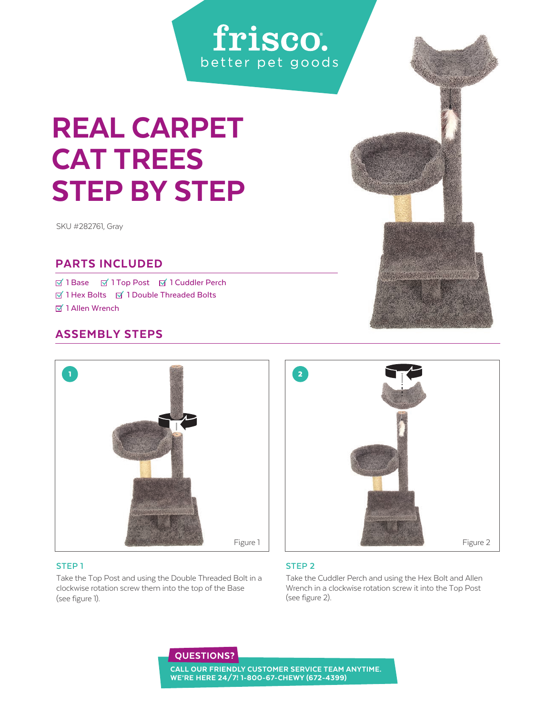## frisco. better pet goods

# REAL CARPET CAT TREES STEP BY STEP

SKU #282761, Gray

### PARTS INCLUDED

**Ø 1 Base Ø 1 Top Post Ø 1 Cuddler Perch**  $\overline{M}$  1 Hex Bolts  $\overline{M}$  1 Double Threaded Bolts **Ø** 1 Allen Wrench

## ASSEMBLY STEPS



#### **STEP 1**

Take the Top Post and using the Double Threaded Bolt in a clockwise rotation screw them into the top of the Base (see figure 1).



#### **STEP 2**

Take the Cuddler Perch and using the Hex Bolt and Allen Wrench in a clockwise rotation screw it into the Top Post (see figure 2).